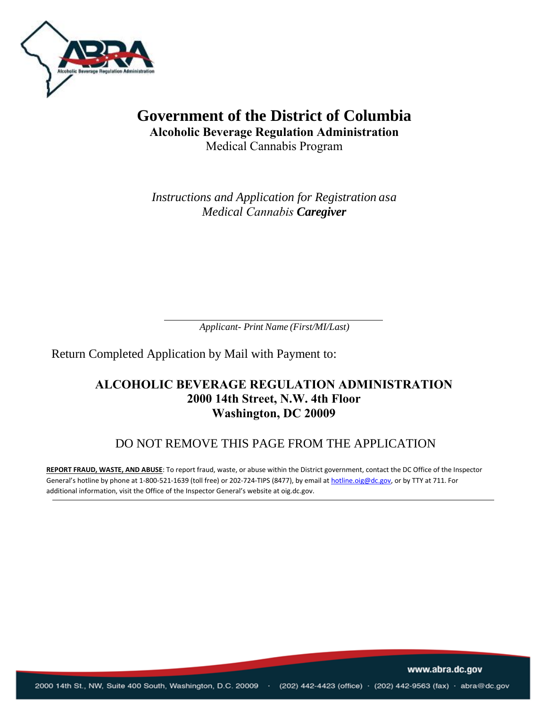

# **Government of the District of Columbia Alcoholic Beverage Regulation Administration** Medical Cannabis Program

*Instructions and Application for Registration asa Medical Cannabis Caregiver* 

*Applicant- Print Name (First/MI/Last)*

Return Completed Application by Mail with Payment to:

### **ALCOHOLIC BEVERAGE REGULATION ADMINISTRATION 2000 14th Street, N.W. 4th Floor Washington, DC 20009**

### DO NOT REMOVE THIS PAGE FROM THE APPLICATION

**REPORT FRAUD, WASTE, AND ABUSE**: To report fraud, waste, or abuse within the District government, contact the DC Office of the Inspector General's hotline by phone at 1-800-521-1639 (toll free) or 202-724-TIPS (8477), by email a[t hotline.oig@dc.gov, o](mailto:hotline.oig@dc.gov)r by TTY at 711. For additional information, visit the Office of the Inspector General's website at oig.dc.gov.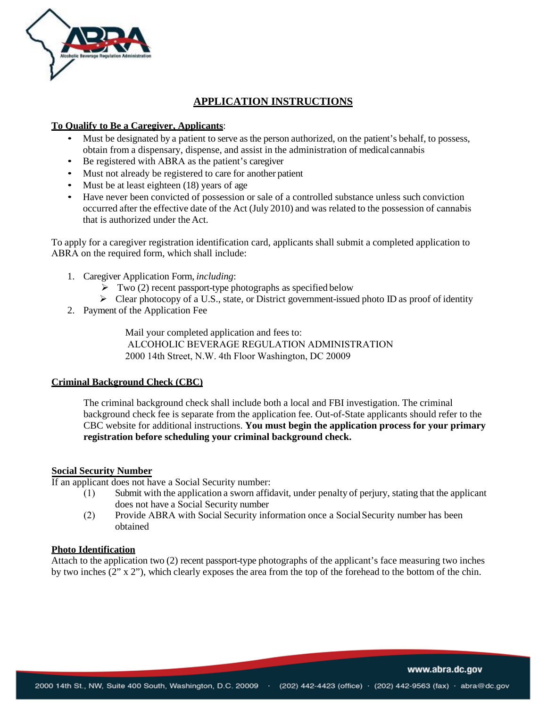

### **APPLICATION INSTRUCTIONS**

#### **To Qualify to Be a Caregiver, Applicants**:

- Must be designated by a patient to serve as the person authorized, on the patient's behalf, to possess, obtain from a dispensary, dispense, and assist in the administration of medicalcannabis
- Be registered with ABRA as the patient's caregiver
- Must not already be registered to care for another patient
- Must be at least eighteen (18) years of age
- Have never been convicted of possession or sale of a controlled substance unless such conviction occurred after the effective date of the Act (July 2010) and was related to the possession of cannabis that is authorized under the Act.

To apply for a caregiver registration identification card, applicants shall submit a completed application to ABRA on the required form, which shall include:

- 1. Caregiver Application Form, *including*:
	- $\triangleright$  Two (2) recent passport-type photographs as specified below
	- $\triangleright$  Clear photocopy of a U.S., state, or District government-issued photo ID as proof of identity
- 2. Payment of the Application Fee

Mail your completed application and fees to: ALCOHOLIC BEVERAGE REGULATION ADMINISTRATION 20[00 1](http://www.l1enrollment.com/)[4th Street, N.W. 4th Floor Washingt](https://dchealth.dc.gov/node/120532)[on](http://www.l1enrollment.com/), DC 20009

#### **Criminal Background Check (CBC)**

The criminal background check shall include both a local and FBI investigation. The criminal background check fee is separate from the application fee. Out-of-State applicants should refer to the CBC website for additional instructions. **You must begin the application process for your primary registration before scheduling your criminal background check.** 

#### **Social Security Number**

If an applicant does not have a Social Security number:

- (1) Submit with the application a sworn affidavit, under penalty of perjury, stating that the applicant does not have a Social Security number
- (2) Provide ABRA with Social Security information once a Social Security number has been obtained

### **Photo Identification**

Attach to the application two (2) recent passport-type photographs of the applicant's face measuring two inches by two inches (2" x 2"), which clearly exposes the area from the top of the forehead to the bottom of the chin.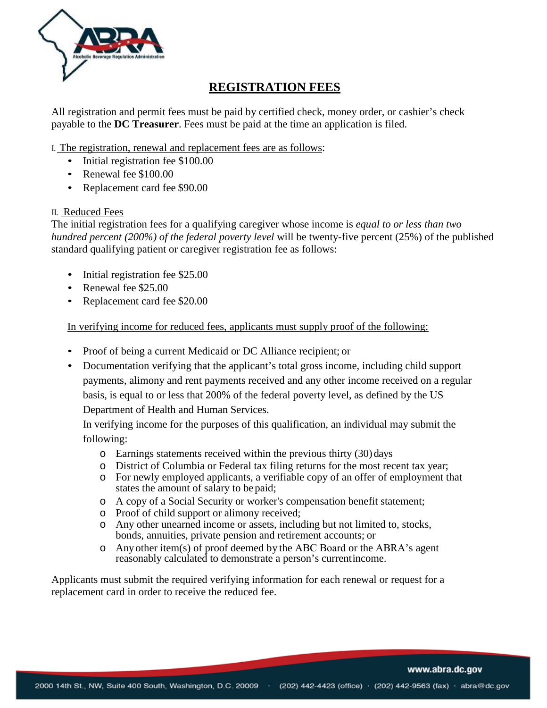

## **REGISTRATION FEES**

All registration and permit fees must be paid by certified check, money order, or cashier's check payable to the **DC Treasurer**. Fees must be paid at the time an application is filed.

- I. The registration, renewal and replacement fees are as follows:
	- Initial registration fee \$100.00
	- Renewal fee \$100.00
	- Replacement card fee \$90.00

#### II. Reduced Fees

The initial registration fees for a qualifying caregiver whose income is *equal to or less than two hundred percent (200%) of the federal poverty level* will be twenty-five percent (25%) of the published standard qualifying patient or caregiver registration fee as follows:

- Initial registration fee \$25.00
- Renewal fee \$25.00
- Replacement card fee \$20.00

In verifying income for reduced fees, applicants must supply proof of the following:

- Proof of being a current Medicaid or DC Alliance recipient; or
- Documentation verifying that the applicant's total gross income, including child support payments, alimony and rent payments received and any other income received on a regular basis, is equal to or less that 200% of the federal poverty level, as defined by the US Department of Health and Human Services.

In verifying income for the purposes of this qualification, an individual may submit the following:

- o Earnings statements received within the previous thirty (30) days
- o District of Columbia or Federal tax filing returns for the most recent tax year;
- o For newly employed applicants, a verifiable copy of an offer of employment that states the amount of salary to be paid;
- o A copy of a Social Security or worker's compensation benefit statement;
- o Proof of child support or alimony received;
- o Any other unearned income or assets, including but not limited to, stocks, bonds, annuities, private pension and retirement accounts; or
- o Any other item(s) of proof deemed by the ABC Board or the ABRA's agent reasonably calculated to demonstrate a person's currentincome.

Applicants must submit the required verifying information for each renewal or request for a replacement card in order to receive the reduced fee.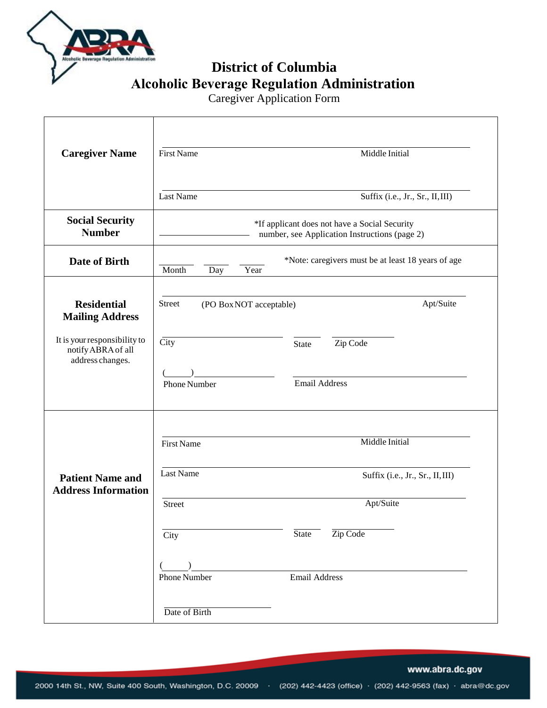

**District of Columbia Alcoholic Beverage Regulation Administration** 

Caregiver Application Form

| <b>Caregiver Name</b>                                                  | <b>First Name</b><br>Middle Initial                                                            |  |  |
|------------------------------------------------------------------------|------------------------------------------------------------------------------------------------|--|--|
|                                                                        | <b>Last Name</b><br>Suffix (i.e., Jr., Sr., II, III)                                           |  |  |
| <b>Social Security</b><br><b>Number</b>                                | *If applicant does not have a Social Security<br>number, see Application Instructions (page 2) |  |  |
| Date of Birth                                                          | *Note: caregivers must be at least 18 years of age<br>Month<br>Year<br>Day                     |  |  |
| <b>Residential</b><br><b>Mailing Address</b>                           | Apt/Suite<br><b>Street</b><br>(PO Box NOT acceptable)                                          |  |  |
| It is your responsibility to<br>notify ABRA of all<br>address changes. | City<br>Zip Code<br><b>State</b>                                                               |  |  |
|                                                                        | <b>Email Address</b><br><b>Phone Number</b>                                                    |  |  |
| <b>Patient Name and</b><br><b>Address Information</b>                  | Middle Initial<br><b>First Name</b>                                                            |  |  |
|                                                                        | <b>Last Name</b><br>Suffix (i.e., Jr., Sr., II, III)                                           |  |  |
|                                                                        | Apt/Suite<br><b>Street</b>                                                                     |  |  |
|                                                                        | Zip Code<br><b>State</b><br>City                                                               |  |  |
|                                                                        |                                                                                                |  |  |
|                                                                        | <b>Phone Number</b><br><b>Email Address</b>                                                    |  |  |
|                                                                        | Date of Birth                                                                                  |  |  |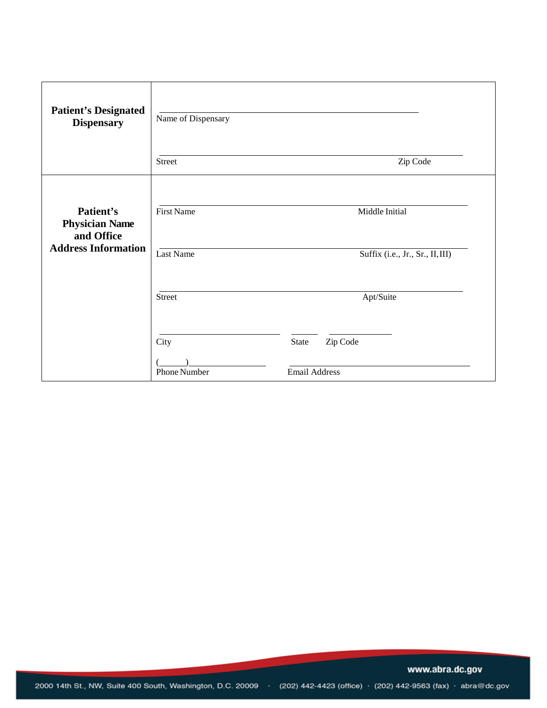| <b>Patient's Designated</b><br><b>Dispensary</b>                               | Name of Dispensary<br><b>Street</b> | Zip Code                         |
|--------------------------------------------------------------------------------|-------------------------------------|----------------------------------|
|                                                                                |                                     |                                  |
| Patient's<br><b>Physician Name</b><br>and Office<br><b>Address Information</b> | <b>First Name</b>                   | Middle Initial                   |
|                                                                                | <b>Last Name</b>                    | Suffix (i.e., Jr., Sr., II, III) |
|                                                                                |                                     |                                  |
|                                                                                | Street                              | Apt/Suite                        |
|                                                                                |                                     |                                  |
|                                                                                | City                                | State<br>Zip Code                |
|                                                                                |                                     |                                  |
|                                                                                | <b>Phone Number</b>                 | <b>Email Address</b>             |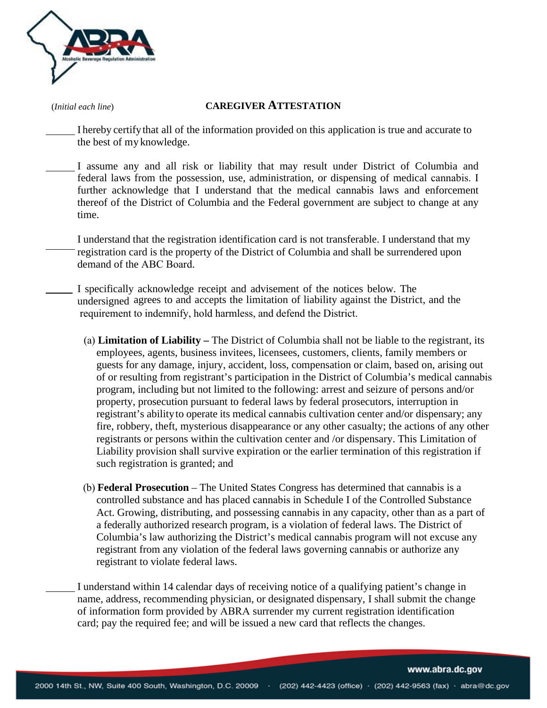

#### (*Initial each line*) **CAREGIVER ATTESTATION**

I hereby certifythat all of the information provided on this application is true and accurate to the best of my knowledge.

I assume any and all risk or liability that may result under District of Columbia and federal laws from the possession, use, administration, or dispensing of medical cannabis. I further acknowledge that I understand that the medical cannabis laws and enforcement thereof of the District of Columbia and the Federal government are subject to change at any time.

I understand that the registration identification card is not transferable. I understand that my registration card is the property of the District of Columbia and shall be surrendered upon demand of the ABC Board.

- I specifically acknowledge receipt and advisement of the notices below. The undersigned agrees to and accepts the limitation of liability against the District, and the requirement to indemnify, hold harmless, and defend the District.
	- (a) **Limitation of Liability** The District of Columbia shall not be liable to the registrant, its employees, agents, business invitees, licensees, customers, clients, family members or guests for any damage, injury, accident, loss, compensation or claim, based on, arising out of or resulting from registrant's participation in the District of Columbia's medical cannabis program, including but not limited to the following: arrest and seizure of persons and/or property, prosecution pursuant to federal laws by federal prosecutors, interruption in registrant's abilityto operate its medical cannabis cultivation center and/or dispensary; any fire, robbery, theft, mysterious disappearance or any other casualty; the actions of any other registrants or persons within the cultivation center and /or dispensary. This Limitation of Liability provision shall survive expiration or the earlier termination of this registration if such registration is granted; and
	- (b) **Federal Prosecution** The United States Congress has determined that cannabis is a controlled substance and has placed cannabis in Schedule I of the Controlled Substance Act. Growing, distributing, and possessing cannabis in any capacity, other than as a part of a federally authorized research program, is a violation of federal laws. The District of Columbia's law authorizing the District's medical cannabis program will not excuse any registrant from any violation of the federal laws governing cannabis or authorize any registrant to violate federal laws.

I understand within 14 calendar days of receiving notice of a qualifying patient's change in name, address, recommending physician, or designated dispensary, I shall submit the change of information form provided by ABRA surrender my current registration identification card; pay the required fee; and will be issued a new card that reflects the changes.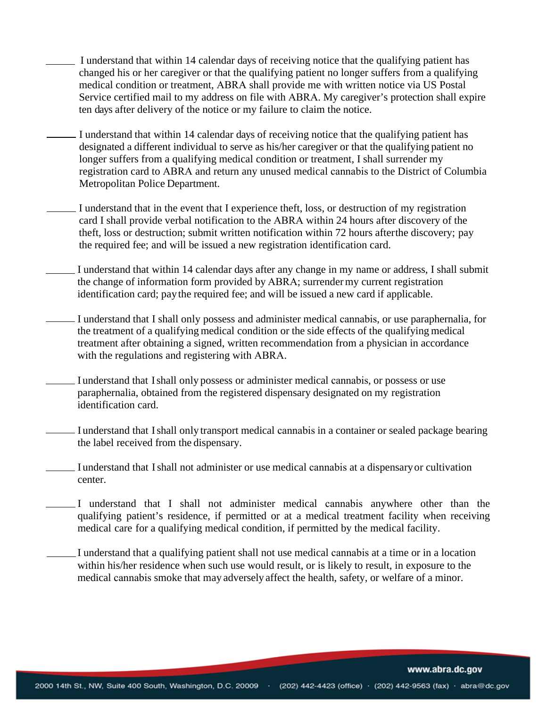- I understand that within 14 calendar days of receiving notice that the qualifying patient has changed his or her caregiver or that the qualifying patient no longer suffers from a qualifying medical condition or treatment, ABRA shall provide me with written notice via US Postal Service certified mail to my address on file with ABRA. My caregiver's protection shall expire ten days after delivery of the notice or my failure to claim the notice.
- I understand that within 14 calendar days of receiving notice that the qualifying patient has designated a different individual to serve as his/her caregiver or that the qualifying patient no longer suffers from a qualifying medical condition or treatment, I shall surrender my registration card to ABRA and return any unused medical cannabis to the District of Columbia Metropolitan Police Department.
- I understand that in the event that I experience theft, loss, or destruction of my registration card I shall provide verbal notification to the ABRA within 24 hours after discovery of the theft, loss or destruction; submit written notification within 72 hours after the discovery; pay the required fee; and will be issued a new registration identification card.
	- I understand that within 14 calendar days after any change in my name or address, I shall submit the change of information form provided by ABRA; surrender my current registration identification card; paythe required fee; and will be issued a new card if applicable.
	- I understand that I shall only possess and administer medical cannabis, or use paraphernalia, for the treatment of a qualifying medical condition or the side effects of the qualifying medical treatment after obtaining a signed, written recommendation from a physician in accordance with the regulations and registering with ABRA.
- I understand that I shall only possess or administer medical cannabis, or possess or use paraphernalia, obtained from the registered dispensary designated on my registration identification card.
- I understand that I shall only transport medical cannabis in a container or sealed package bearing the label received from the dispensary.
- I understand that I shall not administer or use medical cannabis at a dispensary or cultivation center.
	- I understand that I shall not administer medical cannabis anywhere other than the qualifying patient's residence, if permitted or at a medical treatment facility when receiving medical care for a qualifying medical condition, if permitted by the medical facility.
- I understand that a qualifying patient shall not use medical cannabis at a time or in a location within his/her residence when such use would result, or is likely to result, in exposure to the medical cannabis smoke that may adversely affect the health, safety, or welfare of a minor.